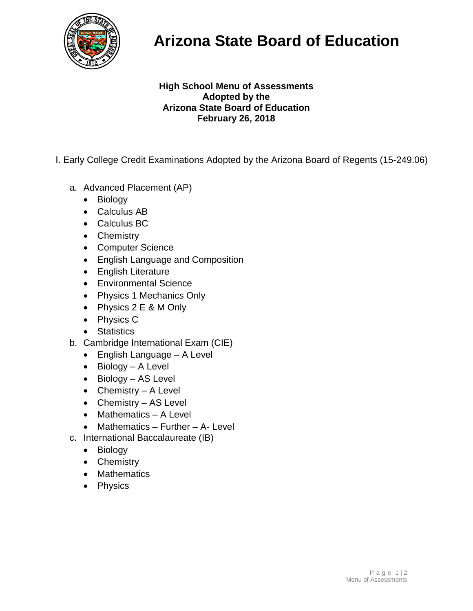

## **Arizona State Board of Education**

## **High School Menu of Assessments Adopted by the Arizona State Board of Education February 26, 2018**

- I. Early College Credit Examinations Adopted by the Arizona Board of Regents (15-249.06)
	- a. Advanced Placement (AP)
		- Biology
		- Calculus AB
		- Calculus BC
		- Chemistry
		- Computer Science
		- English Language and Composition
		- English Literature
		- Environmental Science
		- Physics 1 Mechanics Only
		- Physics 2 E & M Only
		- Physics C
		- Statistics
	- b. Cambridge International Exam (CIE)
		- English Language A Level
		- Biology A Level
		- Biology AS Level
		- Chemistry A Level
		- Chemistry AS Level
		- Mathematics A Level
		- Mathematics Further A- Level
	- c. International Baccalaureate (IB)
		- Biology
		- Chemistry
		- Mathematics
		- Physics